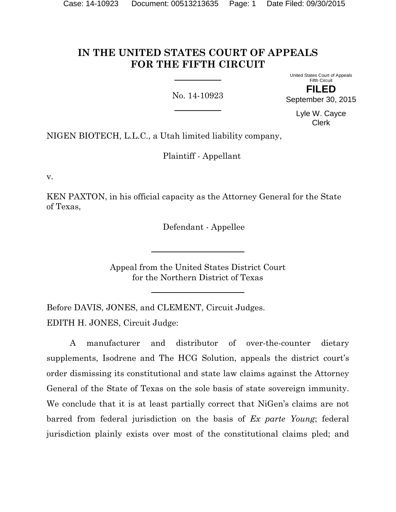# **IN THE UNITED STATES COURT OF APPEALS FOR THE FIFTH CIRCUIT**

No. 14-10923

United States Court of Appeals Fifth Circuit **FILED** September 30, 2015

> Lyle W. Cayce Clerk

NIGEN BIOTECH, L.L.C., a Utah limited liability company,

Plaintiff - Appellant

v.

KEN PAXTON, in his official capacity as the Attorney General for the State of Texas,

Defendant - Appellee

Appeal from the United States District Court for the Northern District of Texas

Before DAVIS, JONES, and CLEMENT, Circuit Judges. EDITH H. JONES, Circuit Judge:

A manufacturer and distributor of over-the-counter dietary supplements, Isodrene and The HCG Solution, appeals the district court's order dismissing its constitutional and state law claims against the Attorney General of the State of Texas on the sole basis of state sovereign immunity. We conclude that it is at least partially correct that NiGen's claims are not barred from federal jurisdiction on the basis of *Ex parte Young*; federal jurisdiction plainly exists over most of the constitutional claims pled; and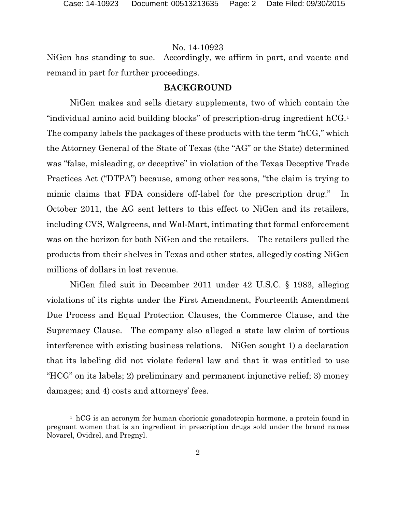NiGen has standing to sue. Accordingly, we affirm in part, and vacate and remand in part for further proceedings.

## **BACKGROUND**

NiGen makes and sells dietary supplements, two of which contain the "individual amino acid building blocks" of prescription-drug ingredient hCG.[1](#page-1-0) The company labels the packages of these products with the term "hCG," which the Attorney General of the State of Texas (the "AG" or the State) determined was "false, misleading, or deceptive" in violation of the Texas Deceptive Trade Practices Act ("DTPA") because, among other reasons, "the claim is trying to mimic claims that FDA considers off-label for the prescription drug." In October 2011, the AG sent letters to this effect to NiGen and its retailers, including CVS, Walgreens, and Wal-Mart, intimating that formal enforcement was on the horizon for both NiGen and the retailers. The retailers pulled the products from their shelves in Texas and other states, allegedly costing NiGen millions of dollars in lost revenue.

NiGen filed suit in December 2011 under 42 U.S.C. § 1983, alleging violations of its rights under the First Amendment, Fourteenth Amendment Due Process and Equal Protection Clauses, the Commerce Clause, and the Supremacy Clause. The company also alleged a state law claim of tortious interference with existing business relations. NiGen sought 1) a declaration that its labeling did not violate federal law and that it was entitled to use "HCG" on its labels; 2) preliminary and permanent injunctive relief; 3) money damages; and 4) costs and attorneys' fees.

 $\overline{a}$ 

<span id="page-1-0"></span> $1 \text{ hCG}$  is an acronym for human chorionic gonadotropin hormone, a protein found in pregnant women that is an ingredient in prescription drugs sold under the brand names Novarel, Ovidrel, and Pregnyl.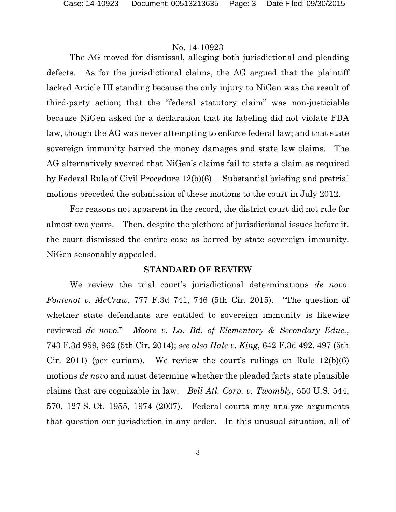The AG moved for dismissal, alleging both jurisdictional and pleading defects. As for the jurisdictional claims, the AG argued that the plaintiff lacked Article III standing because the only injury to NiGen was the result of third-party action; that the "federal statutory claim" was non-justiciable because NiGen asked for a declaration that its labeling did not violate FDA law, though the AG was never attempting to enforce federal law; and that state sovereign immunity barred the money damages and state law claims. The AG alternatively averred that NiGen's claims fail to state a claim as required by Federal Rule of Civil Procedure 12(b)(6). Substantial briefing and pretrial motions preceded the submission of these motions to the court in July 2012.

For reasons not apparent in the record, the district court did not rule for almost two years. Then, despite the plethora of jurisdictional issues before it, the court dismissed the entire case as barred by state sovereign immunity. NiGen seasonably appealed.

## **STANDARD OF REVIEW**

We review the trial court's jurisdictional determinations *de novo*. *Fontenot v. McCraw*, 777 F.3d 741, 746 (5th Cir. 2015). "The question of whether state defendants are entitled to sovereign immunity is likewise reviewed *de novo*." *Moore v. La. Bd. of Elementary & Secondary Educ.*, 743 F.3d 959, 962 (5th Cir. 2014); *see also Hale v. King*, 642 F.3d 492, 497 (5th Cir. 2011) (per curiam). We review the court's rulings on Rule  $12(b)(6)$ motions *de novo* and must determine whether the pleaded facts state plausible claims that are cognizable in law. *Bell Atl. Corp. v. Twombly*, 550 U.S. 544, 570, 127 S. Ct. 1955, 1974 (2007). Federal courts may analyze arguments that question our jurisdiction in any order. In this unusual situation, all of

3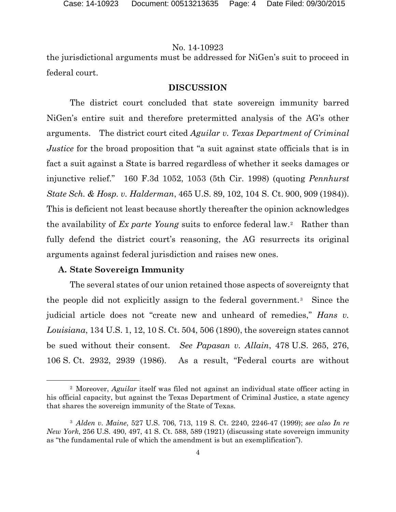the jurisdictional arguments must be addressed for NiGen's suit to proceed in federal court.

## **DISCUSSION**

The district court concluded that state sovereign immunity barred NiGen's entire suit and therefore pretermitted analysis of the AG's other arguments. The district court cited *Aguilar v. Texas Department of Criminal Justice* for the broad proposition that "a suit against state officials that is in fact a suit against a State is barred regardless of whether it seeks damages or injunctive relief." 160 F.3d 1052, 1053 (5th Cir. 1998) (quoting *Pennhurst State Sch. & Hosp. v. Halderman*, 465 U.S. 89, 102, 104 S. Ct. 900, 909 (1984)). This is deficient not least because shortly thereafter the opinion acknowledges the availability of *Ex parte Young* suits to enforce federal law.[2](#page-3-0) Rather than fully defend the district court's reasoning, the AG resurrects its original arguments against federal jurisdiction and raises new ones.

#### **A. State Sovereign Immunity**

 $\overline{a}$ 

The several states of our union retained those aspects of sovereignty that the people did not explicitly assign to the federal government. [3](#page-3-1) Since the judicial article does not "create new and unheard of remedies," *Hans v. Louisiana*, 134 U.S. 1, 12, 10 S. Ct. 504, 506 (1890), the sovereign states cannot be sued without their consent. *See Papasan v. Allain*, 478 U.S. 265, 276, 106 S. Ct. 2932, 2939 (1986). As a result, "Federal courts are without

<span id="page-3-0"></span><sup>2</sup> Moreover, *Aguilar* itself was filed not against an individual state officer acting in his official capacity, but against the Texas Department of Criminal Justice, a state agency that shares the sovereign immunity of the State of Texas.

<span id="page-3-1"></span><sup>3</sup> *Alden v. Maine*, 527 U.S. 706, 713, 119 S. Ct. 2240, 2246-47 (1999); *see also In re New York*, 256 U.S. 490, 497, 41 S. Ct. 588, 589 (1921) (discussing state sovereign immunity as "the fundamental rule of which the amendment is but an exemplification").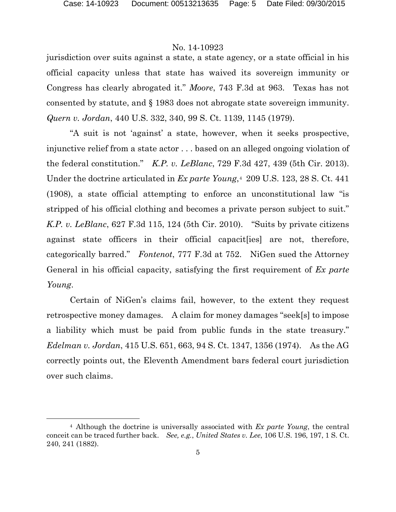$\overline{a}$ 

# No. 14-10923

jurisdiction over suits against a state, a state agency, or a state official in his official capacity unless that state has waived its sovereign immunity or Congress has clearly abrogated it." *Moore*, 743 F.3d at 963. Texas has not consented by statute, and § 1983 does not abrogate state sovereign immunity. *Quern v. Jordan*, 440 U.S. 332, 340, 99 S. Ct. 1139, 1145 (1979).

"A suit is not 'against' a state, however, when it seeks prospective, injunctive relief from a state actor . . . based on an alleged ongoing violation of the federal constitution." *K.P. v. LeBlanc*, 729 F.3d 427, 439 (5th Cir. 2013). Under the doctrine articulated in *Ex parte Young*,[4](#page-4-0) 209 U.S. 123, 28 S. Ct. 441 (1908), a state official attempting to enforce an unconstitutional law "is stripped of his official clothing and becomes a private person subject to suit." *K.P. v. LeBlanc*, 627 F.3d 115, 124 (5th Cir. 2010). "Suits by private citizens against state officers in their official capacit[ies] are not, therefore, categorically barred." *Fontenot*, 777 F.3d at 752. NiGen sued the Attorney General in his official capacity, satisfying the first requirement of *Ex parte Young*.

Certain of NiGen's claims fail, however, to the extent they request retrospective money damages. A claim for money damages "seek[s] to impose a liability which must be paid from public funds in the state treasury." *Edelman v. Jordan*, 415 U.S. 651, 663, 94 S. Ct. 1347, 1356 (1974). As the AG correctly points out, the Eleventh Amendment bars federal court jurisdiction over such claims.

<span id="page-4-0"></span><sup>4</sup> Although the doctrine is universally associated with *Ex parte Young*, the central conceit can be traced further back. *See, e.g.*, *United States v. Lee*, 106 U.S. 196, 197, 1 S. Ct. 240, 241 (1882).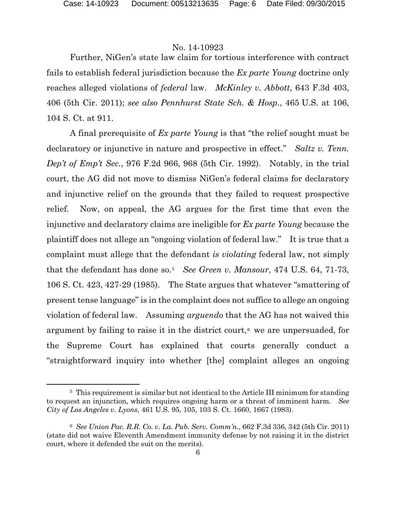Further, NiGen's state law claim for tortious interference with contract fails to establish federal jurisdiction because the *Ex parte Young* doctrine only reaches alleged violations of *federal* law. *McKinley v. Abbott*, 643 F.3d 403, 406 (5th Cir. 2011); *see also Pennhurst State Sch. & Hosp.*, 465 U.S. at 106, 104 S. Ct. at 911.

A final prerequisite of *Ex parte Young* is that "the relief sought must be declaratory or injunctive in nature and prospective in effect." *Saltz v. Tenn. Dep't of Emp't Sec.*, 976 F.2d 966, 968 (5th Cir. 1992). Notably, in the trial court, the AG did not move to dismiss NiGen's federal claims for declaratory and injunctive relief on the grounds that they failed to request prospective relief. Now, on appeal, the AG argues for the first time that even the injunctive and declaratory claims are ineligible for *Ex parte Young* because the plaintiff does not allege an "ongoing violation of federal law." It is true that a complaint must allege that the defendant *is violating* federal law, not simply that the defendant has done so.[5](#page-5-0) *See Green v. Mansour*, 474 U.S. 64, 71-73, 106 S. Ct. 423, 427-29 (1985). The State argues that whatever "smattering of present tense language" is in the complaint does not suffice to allege an ongoing violation of federal law. Assuming *arguendo* that the AG has not waived this argument by failing to raise it in the district court, $\epsilon$  we are unpersuaded, for the Supreme Court has explained that courts generally conduct a "straightforward inquiry into whether [the] complaint alleges an ongoing

 $\overline{a}$ 

<span id="page-5-0"></span><sup>&</sup>lt;sup>5</sup> This requirement is similar but not identical to the Article III minimum for standing to request an injunction, which requires ongoing harm or a threat of imminent harm. *See City of Los Angeles v. Lyons*, 461 U.S. 95, 105, 103 S. Ct. 1660, 1667 (1983).

<span id="page-5-1"></span><sup>6</sup> *See Union Pac. R.R. Co. v. La. Pub. Serv. Comm'n.*, 662 F.3d 336, 342 (5th Cir. 2011) (state did not waive Eleventh Amendment immunity defense by not raising it in the district court, where it defended the suit on the merits).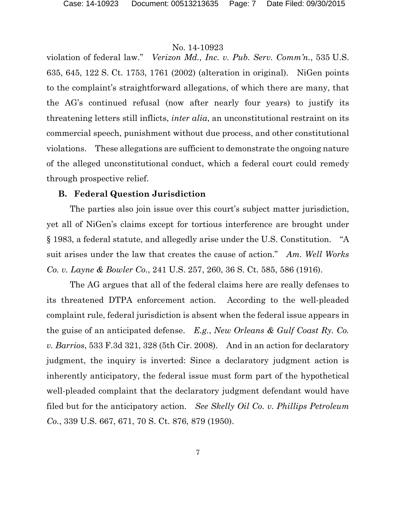violation of federal law." *Verizon Md., Inc. v. Pub. Serv. Comm'n.*, 535 U.S. 635, 645, 122 S. Ct. 1753, 1761 (2002) (alteration in original). NiGen points to the complaint's straightforward allegations, of which there are many, that the AG's continued refusal (now after nearly four years) to justify its threatening letters still inflicts, *inter alia*, an unconstitutional restraint on its commercial speech, punishment without due process, and other constitutional violations. These allegations are sufficient to demonstrate the ongoing nature of the alleged unconstitutional conduct, which a federal court could remedy through prospective relief.

#### **B. Federal Question Jurisdiction**

The parties also join issue over this court's subject matter jurisdiction, yet all of NiGen's claims except for tortious interference are brought under § 1983, a federal statute, and allegedly arise under the U.S. Constitution. "A suit arises under the law that creates the cause of action." *Am. Well Works Co. v. Layne & Bowler Co.*, 241 U.S. 257, 260, 36 S. Ct. 585, 586 (1916).

The AG argues that all of the federal claims here are really defenses to its threatened DTPA enforcement action. According to the well-pleaded complaint rule, federal jurisdiction is absent when the federal issue appears in the guise of an anticipated defense. *E.g.*, *New Orleans & Gulf Coast Ry. Co. v. Barrios*, 533 F.3d 321, 328 (5th Cir. 2008). And in an action for declaratory judgment, the inquiry is inverted: Since a declaratory judgment action is inherently anticipatory, the federal issue must form part of the hypothetical well-pleaded complaint that the declaratory judgment defendant would have filed but for the anticipatory action. *See Skelly Oil Co. v. Phillips Petroleum Co.*, 339 U.S. 667, 671, 70 S. Ct. 876, 879 (1950).

7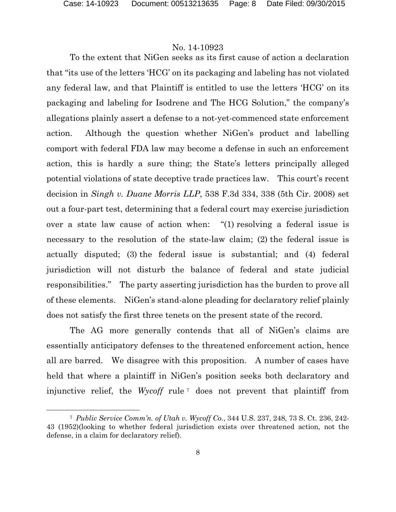$\overline{a}$ 

## No. 14-10923

To the extent that NiGen seeks as its first cause of action a declaration that "its use of the letters 'HCG' on its packaging and labeling has not violated any federal law, and that Plaintiff is entitled to use the letters 'HCG' on its packaging and labeling for Isodrene and The HCG Solution," the company's allegations plainly assert a defense to a not-yet-commenced state enforcement action. Although the question whether NiGen's product and labelling comport with federal FDA law may become a defense in such an enforcement action, this is hardly a sure thing; the State's letters principally alleged potential violations of state deceptive trade practices law. This court's recent decision in *Singh v. Duane Morris LLP*, 538 F.3d 334, 338 (5th Cir. 2008) set out a four-part test, determining that a federal court may exercise jurisdiction over a state law cause of action when: "(1) resolving a federal issue is necessary to the resolution of the state-law claim; (2) the federal issue is actually disputed; (3) the federal issue is substantial; and (4) federal jurisdiction will not disturb the balance of federal and state judicial responsibilities." The party asserting jurisdiction has the burden to prove all of these elements. NiGen's stand-alone pleading for declaratory relief plainly does not satisfy the first three tenets on the present state of the record.

The AG more generally contends that all of NiGen's claims are essentially anticipatory defenses to the threatened enforcement action, hence all are barred. We disagree with this proposition. A number of cases have held that where a plaintiff in NiGen's position seeks both declaratory and injunctive relief, the *Wycoff* rule [7](#page-7-0) does not prevent that plaintiff from

<span id="page-7-0"></span><sup>7</sup> *Public Service Comm'n. of Utah v. Wycoff Co.*, 344 U.S. 237, 248, 73 S. Ct. 236, 242- 43 (1952)(looking to whether federal jurisdiction exists over threatened action, not the defense, in a claim for declaratory relief).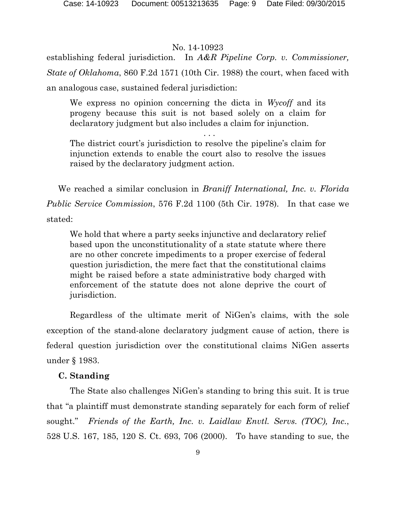establishing federal jurisdiction. In *A&R Pipeline Corp. v. Commissioner, State of Oklahoma*, 860 F.2d 1571 (10th Cir. 1988) the court, when faced with an analogous case, sustained federal jurisdiction:

We express no opinion concerning the dicta in *Wycoff* and its progeny because this suit is not based solely on a claim for declaratory judgment but also includes a claim for injunction.

. . .

The district court's jurisdiction to resolve the pipeline's claim for injunction extends to enable the court also to resolve the issues raised by the declaratory judgment action.

We reached a similar conclusion in *Braniff International, Inc. v. Florida Public Service Commission*, 576 F.2d 1100 (5th Cir. 1978). In that case we stated:

We hold that where a party seeks injunctive and declaratory relief based upon the unconstitutionality of a state statute where there are no other concrete impediments to a proper exercise of federal question jurisdiction, the mere fact that the constitutional claims might be raised before a state administrative body charged with enforcement of the statute does not alone deprive the court of jurisdiction.

Regardless of the ultimate merit of NiGen's claims, with the sole exception of the stand-alone declaratory judgment cause of action, there is federal question jurisdiction over the constitutional claims NiGen asserts under § 1983.

## **C. Standing**

The State also challenges NiGen's standing to bring this suit. It is true that "a plaintiff must demonstrate standing separately for each form of relief sought." *Friends of the Earth, Inc. v. Laidlaw Envtl. Servs. (TOC), Inc.*, 528 U.S. 167, 185, 120 S. Ct. 693, 706 (2000). To have standing to sue, the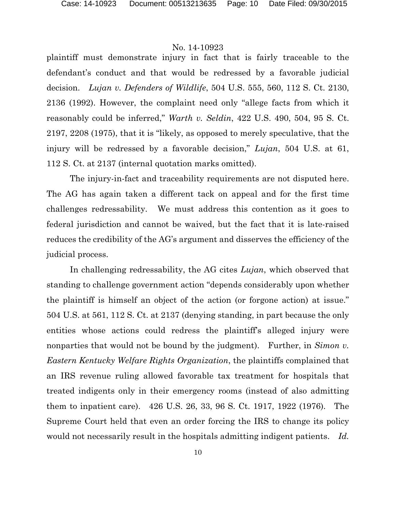plaintiff must demonstrate injury in fact that is fairly traceable to the defendant's conduct and that would be redressed by a favorable judicial decision. *Lujan v. Defenders of Wildlife*, 504 U.S. 555, 560, 112 S. Ct. 2130, 2136 (1992). However, the complaint need only "allege facts from which it reasonably could be inferred," *Warth v. Seldin*, 422 U.S. 490, 504, 95 S. Ct. 2197, 2208 (1975), that it is "likely, as opposed to merely speculative, that the injury will be redressed by a favorable decision," *Lujan*, 504 U.S. at 61, 112 S. Ct. at 2137 (internal quotation marks omitted).

The injury-in-fact and traceability requirements are not disputed here. The AG has again taken a different tack on appeal and for the first time challenges redressability. We must address this contention as it goes to federal jurisdiction and cannot be waived, but the fact that it is late-raised reduces the credibility of the AG's argument and disserves the efficiency of the judicial process.

In challenging redressability, the AG cites *Lujan*, which observed that standing to challenge government action "depends considerably upon whether the plaintiff is himself an object of the action (or forgone action) at issue." 504 U.S. at 561, 112 S. Ct. at 2137 (denying standing, in part because the only entities whose actions could redress the plaintiff's alleged injury were nonparties that would not be bound by the judgment). Further, in *Simon v. Eastern Kentucky Welfare Rights Organization*, the plaintiffs complained that an IRS revenue ruling allowed favorable tax treatment for hospitals that treated indigents only in their emergency rooms (instead of also admitting them to inpatient care). 426 U.S. 26, 33, 96 S. Ct. 1917, 1922 (1976). The Supreme Court held that even an order forcing the IRS to change its policy would not necessarily result in the hospitals admitting indigent patients. *Id.*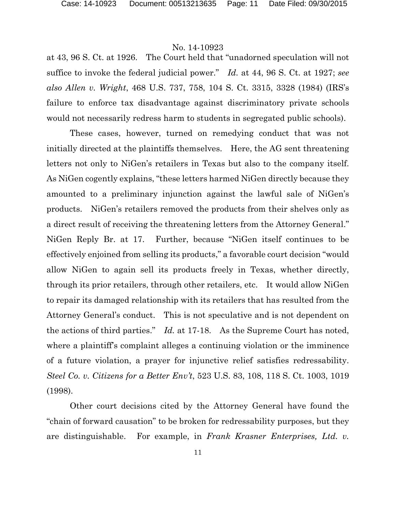at 43, 96 S. Ct. at 1926. The Court held that "unadorned speculation will not suffice to invoke the federal judicial power." *Id.* at 44, 96 S. Ct. at 1927; *see also Allen v. Wright*, 468 U.S. 737, 758, 104 S. Ct. 3315, 3328 (1984) (IRS's failure to enforce tax disadvantage against discriminatory private schools would not necessarily redress harm to students in segregated public schools).

These cases, however, turned on remedying conduct that was not initially directed at the plaintiffs themselves. Here, the AG sent threatening letters not only to NiGen's retailers in Texas but also to the company itself. As NiGen cogently explains, "these letters harmed NiGen directly because they amounted to a preliminary injunction against the lawful sale of NiGen's products. NiGen's retailers removed the products from their shelves only as a direct result of receiving the threatening letters from the Attorney General." NiGen Reply Br. at 17. Further, because "NiGen itself continues to be effectively enjoined from selling its products," a favorable court decision "would allow NiGen to again sell its products freely in Texas, whether directly, through its prior retailers, through other retailers, etc. It would allow NiGen to repair its damaged relationship with its retailers that has resulted from the Attorney General's conduct. This is not speculative and is not dependent on the actions of third parties." *Id.* at 17-18. As the Supreme Court has noted, where a plaintiff's complaint alleges a continuing violation or the imminence of a future violation, a prayer for injunctive relief satisfies redressability. *Steel Co. v. Citizens for a Better Env't*, 523 U.S. 83, 108, 118 S. Ct. 1003, 1019 (1998).

Other court decisions cited by the Attorney General have found the "chain of forward causation" to be broken for redressability purposes, but they are distinguishable. For example, in *Frank Krasner Enterprises, Ltd. v.*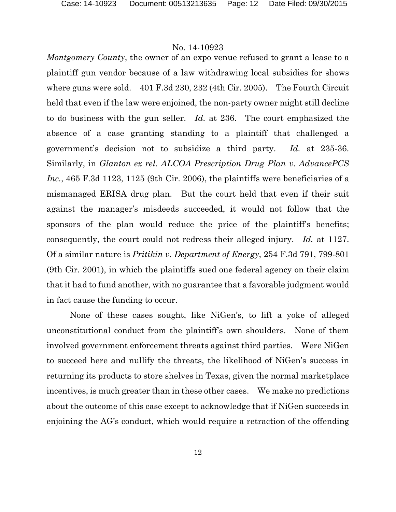*Montgomery County*, the owner of an expo venue refused to grant a lease to a plaintiff gun vendor because of a law withdrawing local subsidies for shows where guns were sold. 401 F.3d 230, 232 (4th Cir. 2005). The Fourth Circuit held that even if the law were enjoined, the non-party owner might still decline to do business with the gun seller. *Id.* at 236. The court emphasized the absence of a case granting standing to a plaintiff that challenged a government's decision not to subsidize a third party. *Id.* at 235-36. Similarly, in *Glanton ex rel. ALCOA Prescription Drug Plan v. AdvancePCS Inc.*, 465 F.3d 1123, 1125 (9th Cir. 2006), the plaintiffs were beneficiaries of a mismanaged ERISA drug plan. But the court held that even if their suit against the manager's misdeeds succeeded, it would not follow that the sponsors of the plan would reduce the price of the plaintiff's benefits; consequently, the court could not redress their alleged injury. *Id.* at 1127. Of a similar nature is *Pritikin v. Department of Energy*, 254 F.3d 791, 799-801 (9th Cir. 2001), in which the plaintiffs sued one federal agency on their claim that it had to fund another, with no guarantee that a favorable judgment would in fact cause the funding to occur.

None of these cases sought, like NiGen's, to lift a yoke of alleged unconstitutional conduct from the plaintiff's own shoulders. None of them involved government enforcement threats against third parties. Were NiGen to succeed here and nullify the threats, the likelihood of NiGen's success in returning its products to store shelves in Texas, given the normal marketplace incentives, is much greater than in these other cases. We make no predictions about the outcome of this case except to acknowledge that if NiGen succeeds in enjoining the AG's conduct, which would require a retraction of the offending